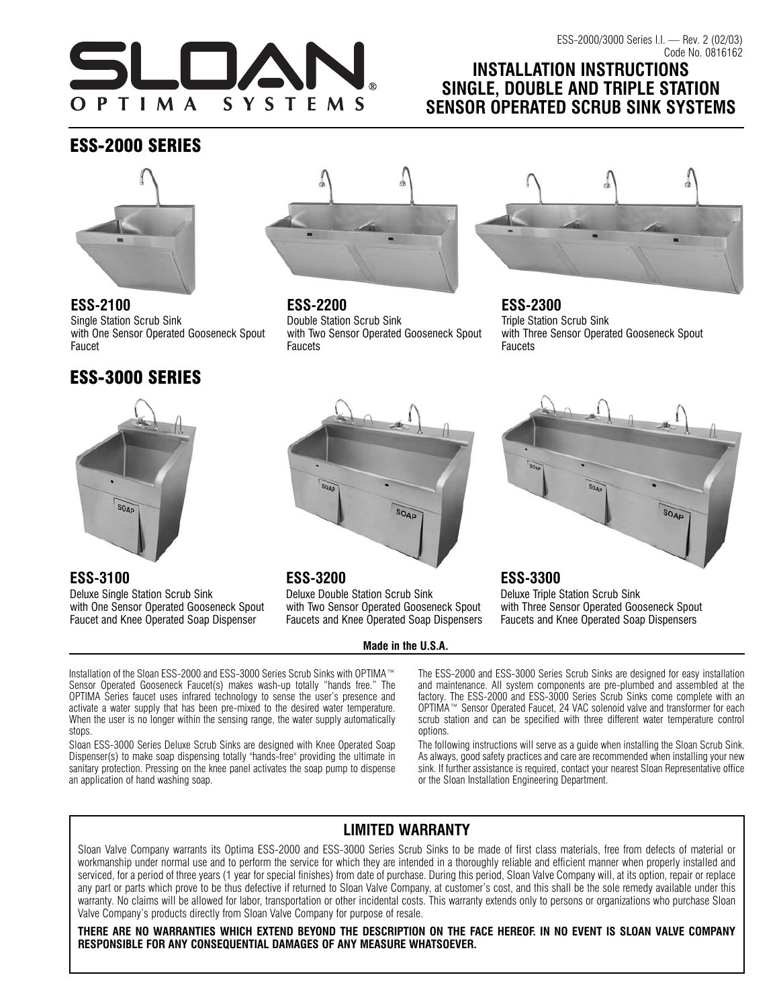

# **INSTALLATION INSTRUCTIONS SINGLE, DOUBLE AND TRIPLE STATION SENSOR OPERATED SCRUB SINK SYSTEMS**

# ESS-2000 SERIES



**ESS-2100** Single Station Scrub Sink with One Sensor Operated Gooseneck Spout Faucet

# ESS-3000 SERIES



**ESS-2200** Double Station Scrub Sink with Two Sensor Operated Gooseneck Spout **Faucets** 



**ESS-2300** Triple Station Scrub Sink with Three Sensor Operated Gooseneck Spout **Faucets** 



### **ESS-3100**

Deluxe Single Station Scrub Sink with One Sensor Operated Gooseneck Spout Faucet and Knee Operated Soap Dispenser



## **ESS-3200**

Deluxe Double Station Scrub Sink with Two Sensor Operated Gooseneck Spout Faucets and Knee Operated Soap Dispensers

**Made in the U.S.A.**



## **ESS-3300**

Deluxe Triple Station Scrub Sink with Three Sensor Operated Gooseneck Spout Faucets and Knee Operated Soap Dispensers

Installation of the Sloan ESS-2000 and ESS-3000 Series Scrub Sinks with OPTIMA™ Sensor Operated Gooseneck Faucet(s) makes wash-up totally "hands free." The OPTIMA Series faucet uses infrared technology to sense the user's presence and activate a water supply that has been pre-mixed to the desired water temperature. When the user is no longer within the sensing range, the water supply automatically stops.

Sloan ESS-3000 Series Deluxe Scrub Sinks are designed with Knee Operated Soap Dispenser(s) to make soap dispensing totally "hands-free" providing the ultimate in sanitary protection. Pressing on the knee panel activates the soap pump to dispense an application of hand washing soap.

The ESS-2000 and ESS-3000 Series Scrub Sinks are designed for easy installation and maintenance. All system components are pre-plumbed and assembled at the factory. The ESS-2000 and ESS-3000 Series Scrub Sinks come complete with an OPTIMA™ Sensor Operated Faucet, 24 VAC solenoid valve and transformer for each scrub station and can be specified with three different water temperature control options.

The following instructions will serve as a guide when installing the Sloan Scrub Sink. As always, good safety practices and care are recommended when installing your new sink. If further assistance is required, contact your nearest Sloan Representative office or the Sloan Installation Engineering Department.

# **LIMITED WARRANTY**

Sloan Valve Company warrants its Optima ESS-2000 and ESS-3000 Series Scrub Sinks to be made of first class materials, free from defects of material or workmanship under normal use and to perform the service for which they are intended in a thoroughly reliable and efficient manner when properly installed and serviced, for a period of three years (1 year for special finishes) from date of purchase. During this period, Sloan Valve Company will, at its option, repair or replace any part or parts which prove to be thus defective if returned to Sloan Valve Company, at customer's cost, and this shall be the sole remedy available under this warranty. No claims will be allowed for labor, transportation or other incidental costs. This warranty extends only to persons or organizations who purchase Sloan Valve Company's products directly from Sloan Valve Company for purpose of resale.

**THERE ARE NO WARRANTIES WHICH EXTEND BEYOND THE DESCRIPTION ON THE FACE HEREOF. IN NO EVENT IS SLOAN VALVE COMPANY RESPONSIBLE FOR ANY CONSEQUENTIAL DAMAGES OF ANY MEASURE WHATSOEVER.**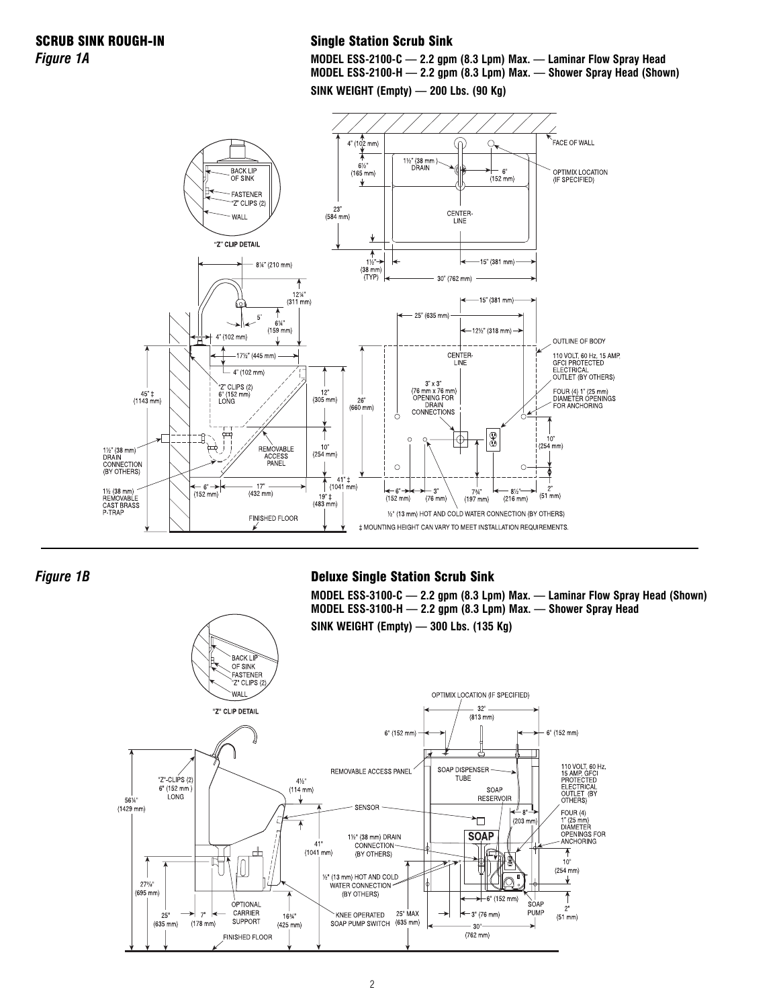### Single Station Scrub Sink

**MODEL ESS-2100-C — 2.2 gpm (8.3 Lpm) Max. — Laminar Flow Spray Head MODEL ESS-2100-H — 2.2 gpm (8.3 Lpm) Max. — Shower Spray Head (Shown)**

**SINK WEIGHT (Empty) — 200 Lbs. (90 Kg)**



*Figure 1B*

### Deluxe Single Station Scrub Sink

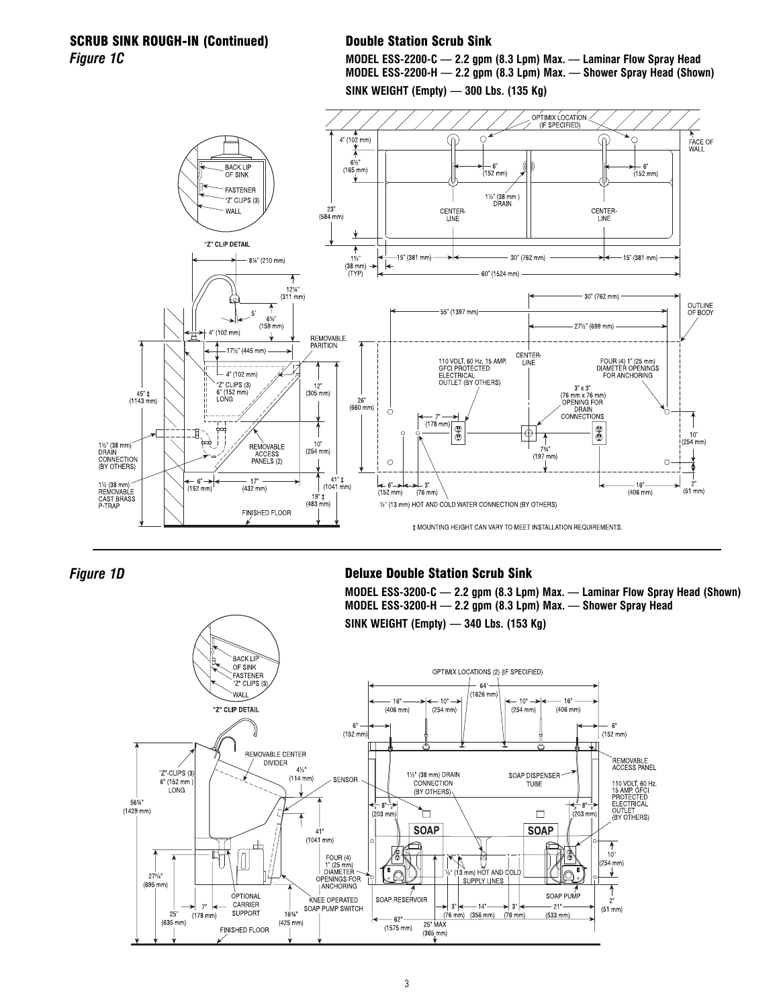### SCRUB SINK ROUGH-IN (Continued) *Figure 1C*

### Double Station Scrub Sink





*Figure 1D*

### Deluxe Double Station Scrub Sink

**MODEL ESS-3200-C — 2.2 gpm (8.3 Lpm) Max. — Laminar Flow Spray Head (Shown) MODEL ESS-3200-H — 2.2 gpm (8.3 Lpm) Max. — Shower Spray Head SINK WEIGHT (Empty) — 340 Lbs. (153 Kg)**

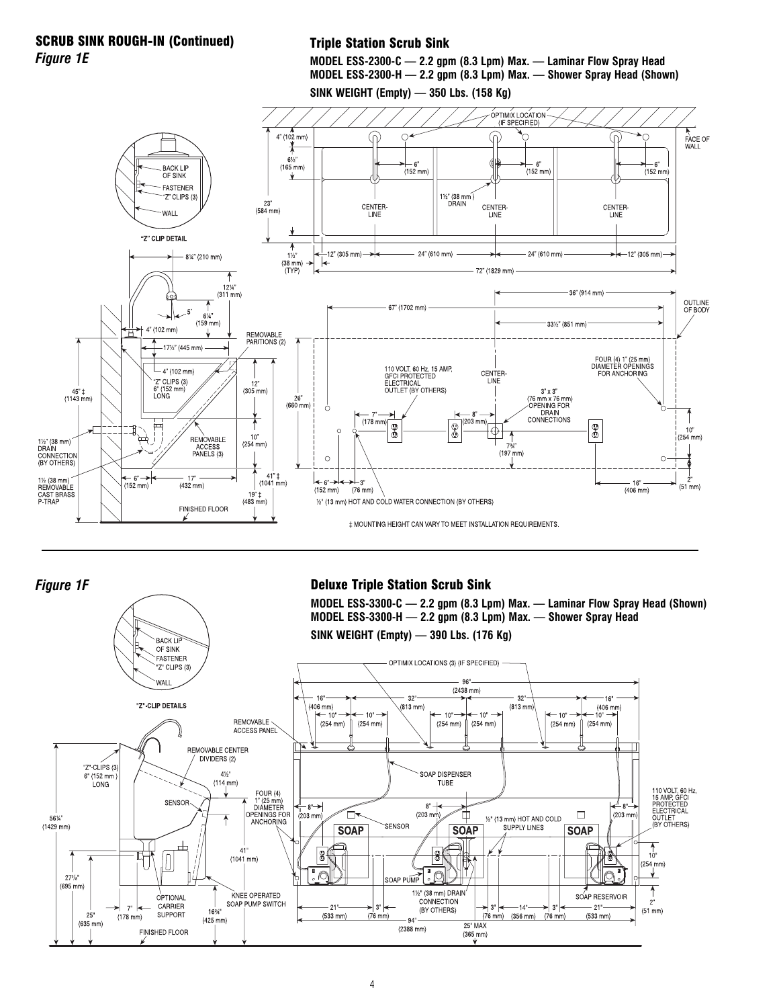### SCRUB SINK ROUGH-IN (Continued) *Figure 1E*

### Triple Station Scrub Sink





### *Figure 1F*

### Deluxe Triple Station Scrub Sink

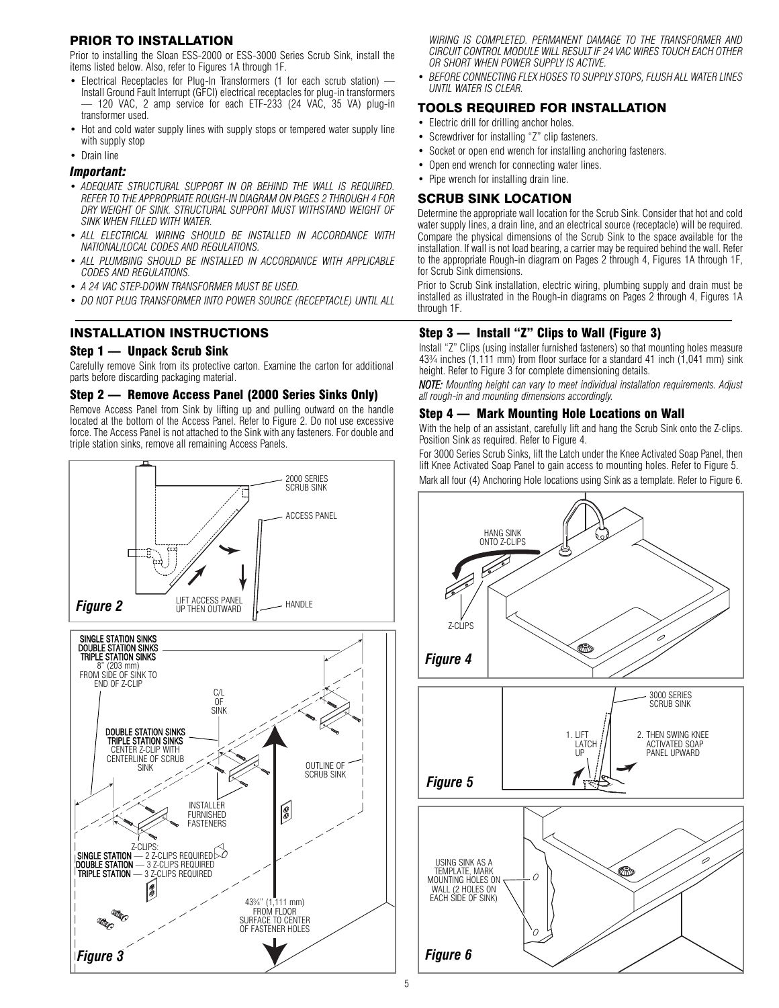### PRIOR TO INSTALLATION

Prior to installing the Sloan ESS-2000 or ESS-3000 Series Scrub Sink, install the items listed below. Also, refer to Figures 1A through 1F.

- Electrical Receptacles for Plug-In Transformers (1 for each scrub station) Install Ground Fault Interrupt (GFCI) electrical receptacles for plug-in transformers — 120 VAC, 2 amp service for each ETF-233 (24 VAC, 35 VA) plug-in transformer used.
- Hot and cold water supply lines with supply stops or tempered water supply line with supply stop
- Drain line

#### *Important:*

- *ADEQUATE STRUCTURAL SUPPORT IN OR BEHIND THE WALL IS REQUIRED. REFER TO THE APPROPRIATE ROUGH-IN DIAGRAM ON PAGES 2 THROUGH 4 FOR DRY WEIGHT OF SINK. STRUCTURAL SUPPORT MUST WITHSTAND WEIGHT OF SINK WHEN FILLED WITH WATER.*
- *ALL ELECTRICAL WIRING SHOULD BE INSTALLED IN ACCORDANCE WITH NATIONAL/LOCAL CODES AND REGULATIONS.*
- *ALL PLUMBING SHOULD BE INSTALLED IN ACCORDANCE WITH APPLICABLE CODES AND REGULATIONS.*
- *A 24 VAC STEP-DOWN TRANSFORMER MUST BE USED.*
- *DO NOT PLUG TRANSFORMER INTO POWER SOURCE (RECEPTACLE) UNTIL ALL*

### INSTALLATION INSTRUCTIONS

### Step 1 — Unpack Scrub Sink

Carefully remove Sink from its protective carton. Examine the carton for additional parts before discarding packaging material.

#### Step 2 — Remove Access Panel (2000 Series Sinks Only)

Remove Access Panel from Sink by lifting up and pulling outward on the handle located at the bottom of the Access Panel. Refer to Figure 2. Do not use excessive force. The Access Panel is not attached to the Sink with any fasteners. For double and triple station sinks, remove all remaining Access Panels.



*WIRING IS COMPLETED. PERMANENT DAMAGE TO THE TRANSFORMER AND CIRCUIT CONTROL MODULE WILL RESULT IF 24 VAC WIRES TOUCH EACH OTHER OR SHORT WHEN POWER SUPPLY IS ACTIVE.*

• *BEFORE CONNECTING FLEX HOSES TO SUPPLY STOPS, FLUSH ALL WATER LINES UNTIL WATER IS CLEAR.*

### TOOLS REQUIRED FOR INSTALLATION

- Electric drill for drilling anchor holes.
- Screwdriver for installing "Z" clip fasteners.
- Socket or open end wrench for installing anchoring fasteners.
- Open end wrench for connecting water lines.
- Pipe wrench for installing drain line.

### SCRUB SINK LOCATION

Determine the appropriate wall location for the Scrub Sink. Consider that hot and cold water supply lines, a drain line, and an electrical source (receptacle) will be required. Compare the physical dimensions of the Scrub Sink to the space available for the installation. If wall is not load bearing, a carrier may be required behind the wall. Refer to the appropriate Rough-in diagram on Pages 2 through 4, Figures 1A through 1F, for Scrub Sink dimensions.

Prior to Scrub Sink installation, electric wiring, plumbing supply and drain must be installed as illustrated in the Rough-in diagrams on Pages 2 through 4, Figures 1A through 1F.

### Step 3 — Install "Z" Clips to Wall (Figure 3)

Install "Z" Clips (using installer furnished fasteners) so that mounting holes measure 43¾ inches (1,111 mm) from floor surface for a standard 41 inch (1,041 mm) sink height. Refer to Figure 3 for complete dimensioning details.

*NOTE: Mounting height can vary to meet individual installation requirements. Adjust all rough-in and mounting dimensions accordingly.*

### Step 4 — Mark Mounting Hole Locations on Wall

With the help of an assistant, carefully lift and hang the Scrub Sink onto the Z-clips. Position Sink as required. Refer to Figure 4.

For 3000 Series Scrub Sinks, lift the Latch under the Knee Activated Soap Panel, then lift Knee Activated Soap Panel to gain access to mounting holes. Refer to Figure 5. Mark all four (4) Anchoring Hole locations using Sink as a template. Refer to Figure 6.

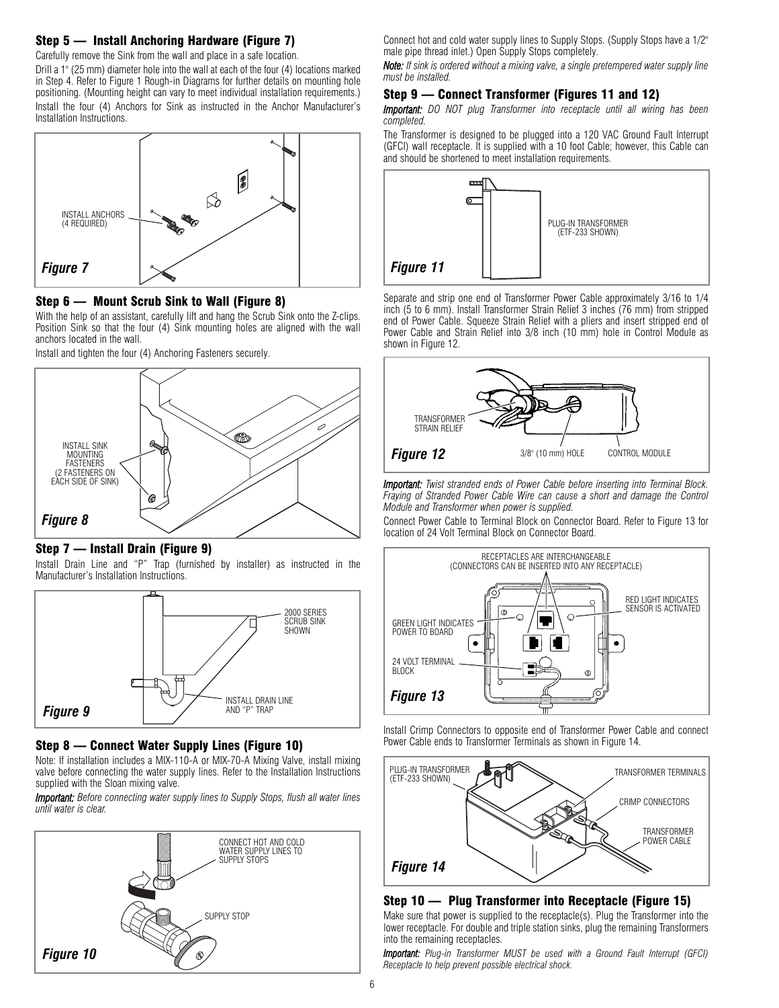### Step 5 — Install Anchoring Hardware (Figure 7)

Carefully remove the Sink from the wall and place in a safe location.

Drill a 1" (25 mm) diameter hole into the wall at each of the four (4) locations marked in Step 4. Refer to Figure 1 Rough-in Diagrams for further details on mounting hole positioning. (Mounting height can vary to meet individual installation requirements.) Install the four (4) Anchors for Sink as instructed in the Anchor Manufacturer's Installation Instructions.



#### Step 6 — Mount Scrub Sink to Wall (Figure 8)

With the help of an assistant, carefully lift and hang the Scrub Sink onto the Z-clips. Position Sink so that the four (4) Sink mounting holes are aligned with the wall anchors located in the wall.

Install and tighten the four (4) Anchoring Fasteners securely.



#### Step 7 — Install Drain (Figure 9)

Install Drain Line and "P" Trap (furnished by installer) as instructed in the Manufacturer's Installation Instructions.



#### Step 8 — Connect Water Supply Lines (Figure 10)

Note: If installation includes a MIX-110-A or MIX-70-A Mixing Valve, install mixing valve before connecting the water supply lines. Refer to the Installation Instructions supplied with the Sloan mixing valve.

*Important: Before connecting water supply lines to Supply Stops, flush all water lines until water is clear.*



Connect hot and cold water supply lines to Supply Stops. (Supply Stops have a 1/2" male pipe thread inlet.) Open Supply Stops completely.

*Note: If sink is ordered without a mixing valve, a single pretempered water supply line must be installed.*

#### Step 9 — Connect Transformer (Figures 11 and 12)

*Important: DO NOT plug Transformer into receptacle until all wiring has been completed.*

The Transformer is designed to be plugged into a 120 VAC Ground Fault Interrupt (GFCI) wall receptacle. It is supplied with a 10 foot Cable; however, this Cable can and should be shortened to meet installation requirements.



Separate and strip one end of Transformer Power Cable approximately 3/16 to 1/4 inch (5 to 6 mm). Install Transformer Strain Relief 3 inches (76 mm) from stripped end of Power Cable. Squeeze Strain Relief with a pliers and insert stripped end of Power Cable and Strain Relief into 3/8 inch (10 mm) hole in Control Module as shown in Figure 12.



*Important: Twist stranded ends of Power Cable before inserting into Terminal Block. Fraying of Stranded Power Cable Wire can cause a short and damage the Control Module and Transformer when power is supplied.*

Connect Power Cable to Terminal Block on Connector Board. Refer to Figure 13 for location of 24 Volt Terminal Block on Connector Board.







#### Step 10 — Plug Transformer into Receptacle (Figure 15)

Make sure that power is supplied to the receptacle(s). Plug the Transformer into the lower receptacle. For double and triple station sinks, plug the remaining Transformers into the remaining receptacles.

*Important: Plug-in Transformer MUST be used with a Ground Fault Interrupt (GFCI) Receptacle to help prevent possible electrical shock.*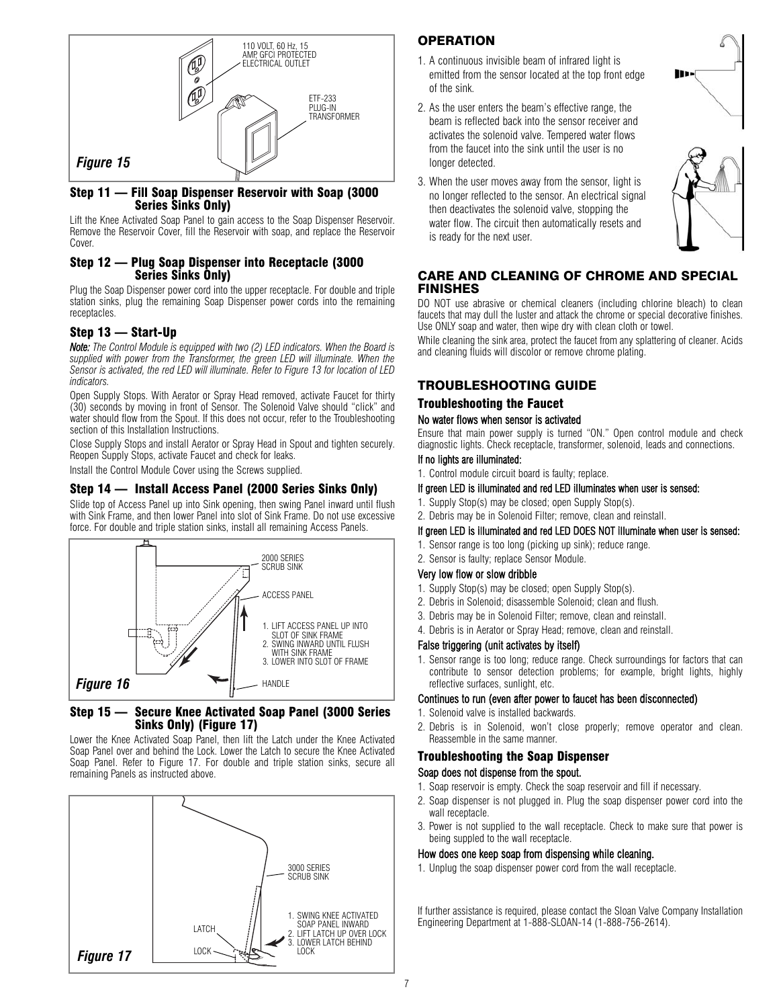

#### Step 11 — Fill Soap Dispenser Reservoir with Soap (3000 Series Sinks Only)

Lift the Knee Activated Soap Panel to gain access to the Soap Dispenser Reservoir. Remove the Reservoir Cover, fill the Reservoir with soap, and replace the Reservoir Cover.

#### Step 12 — Plug Soap Dispenser into Receptacle (3000 Series Sinks Only)

Plug the Soap Dispenser power cord into the upper receptacle. For double and triple station sinks, plug the remaining Soap Dispenser power cords into the remaining receptacles.

### Step 13 — Start-Up

*Note: The Control Module is equipped with two (2) LED indicators. When the Board is supplied with power from the Transformer, the green LED will illuminate. When the Sensor is activated, the red LED will illuminate. Refer to Figure 13 for location of LED indicators.*

Open Supply Stops. With Aerator or Spray Head removed, activate Faucet for thirty (30) seconds by moving in front of Sensor. The Solenoid Valve should "click" and water should flow from the Spout. If this does not occur, refer to the Troubleshooting section of this Installation Instructions.

Close Supply Stops and install Aerator or Spray Head in Spout and tighten securely. Reopen Supply Stops, activate Faucet and check for leaks.

Install the Control Module Cover using the Screws supplied.

### Step 14 — Install Access Panel (2000 Series Sinks Only)

Slide top of Access Panel up into Sink opening, then swing Panel inward until flush with Sink Frame, and then lower Panel into slot of Sink Frame. Do not use excessive force. For double and triple station sinks, install all remaining Access Panels.



### Step 15 — Secure Knee Activated Soap Panel (3000 Series Sinks Only) (Figure 17)

Lower the Knee Activated Soap Panel, then lift the Latch under the Knee Activated Soap Panel over and behind the Lock. Lower the Latch to secure the Knee Activated Soap Panel. Refer to Figure 17. For double and triple station sinks, secure all remaining Panels as instructed above.



### **OPERATION**

- 1. A continuous invisible beam of infrared light is emitted from the sensor located at the top front edge of the sink.
- 2. As the user enters the beam's effective range, the beam is reflected back into the sensor receiver and activates the solenoid valve. Tempered water flows from the faucet into the sink until the user is no longer detected.



3. When the user moves away from the sensor, light is no longer reflected to the sensor. An electrical signal then deactivates the solenoid valve, stopping the water flow. The circuit then automatically resets and is ready for the next user.

### CARE AND CLEANING OF CHROME AND SPECIAL FINISHES

DO NOT use abrasive or chemical cleaners (including chlorine bleach) to clean faucets that may dull the luster and attack the chrome or special decorative finishes. Use ONLY soap and water, then wipe dry with clean cloth or towel.

While cleaning the sink area, protect the faucet from any splattering of cleaner. Acids and cleaning fluids will discolor or remove chrome plating.

### TROUBLESHOOTING GUIDE

### Troubleshooting the Faucet

#### No water flows when sensor is activated

Ensure that main power supply is turned "ON." Open control module and check diagnostic lights. Check receptacle, transformer, solenoid, leads and connections.

#### If no lights are illuminated:

1. Control module circuit board is faulty; replace.

#### If green LED is illuminated and red LED illuminates when user is sensed:

- 1. Supply Stop(s) may be closed; open Supply Stop(s).
- 2. Debris may be in Solenoid Filter; remove, clean and reinstall.

#### If green LED is illuminated and red LED DOES NOT illuminate when user is sensed:

- 1. Sensor range is too long (picking up sink); reduce range.
- 2. Sensor is faulty; replace Sensor Module.

#### Very low flow or slow dribble

- 1. Supply Stop(s) may be closed; open Supply Stop(s).
- 2. Debris in Solenoid; disassemble Solenoid; clean and flush.
- 3. Debris may be in Solenoid Filter; remove, clean and reinstall.
- 4. Debris is in Aerator or Spray Head; remove, clean and reinstall.

### False triggering (unit activates by itself)

1. Sensor range is too long; reduce range. Check surroundings for factors that can contribute to sensor detection problems; for example, bright lights, highly reflective surfaces, sunlight, etc.

### Continues to run (even after power to faucet has been disconnected)

- 1. Solenoid valve is installed backwards.
- 2. Debris is in Solenoid, won't close properly; remove operator and clean. Reassemble in the same manner.

# Troubleshooting the Soap Dispenser

### Soap does not dispense from the spout.

- 1. Soap reservoir is empty. Check the soap reservoir and fill if necessary.
- 2. Soap dispenser is not plugged in. Plug the soap dispenser power cord into the wall receptacle.
- 3. Power is not supplied to the wall receptacle. Check to make sure that power is being suppled to the wall receptacle.

#### How does one keep soap from dispensing while cleaning.

1. Unplug the soap dispenser power cord from the wall receptacle.

If further assistance is required, please contact the Sloan Valve Company Installation Engineering Department at 1-888-SLOAN-14 (1-888-756-2614).